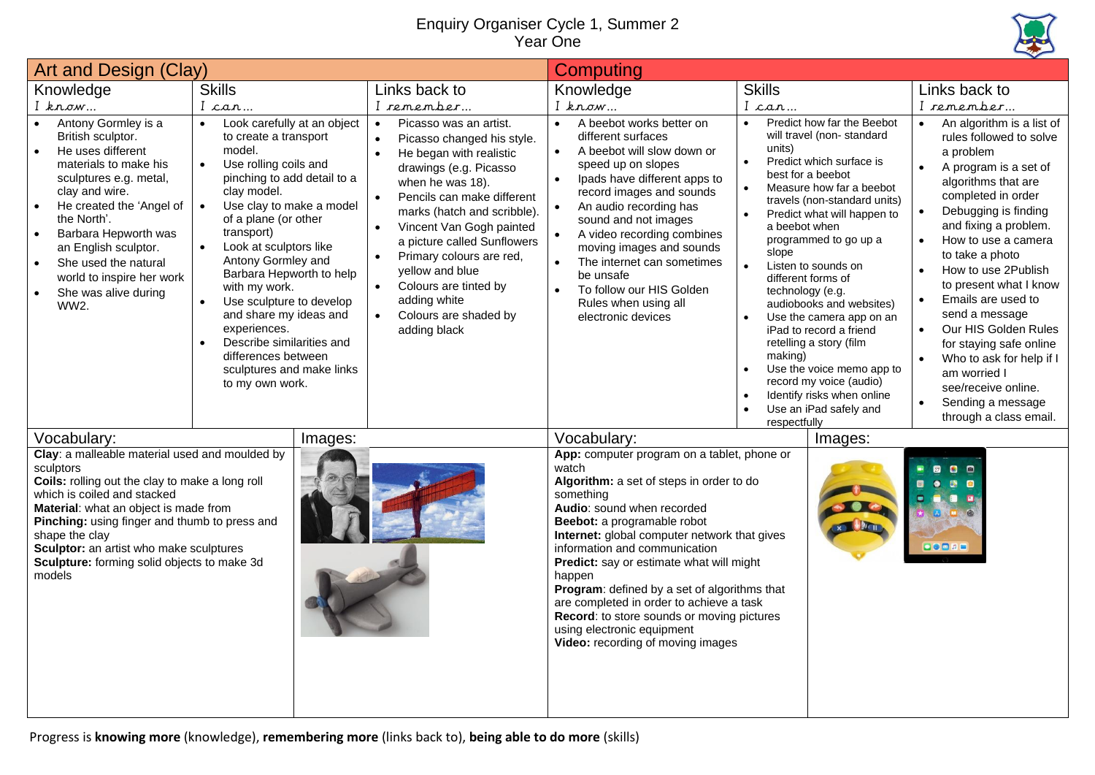## Enquiry Organiser Cycle 1, Summer 2 Year One



| Art and Design (Clay)                                                                                                                                                                                                                                                                                                                                         |                                                                                                                                                                                                                                                                                                                                                                                                                                                                                                                                                 |                                                                                                                                                                                                                                                                                                                                                                                                                                                                      | Computing                                                                                                                                                                                                                                                                                                                                                                                                                                                                                                                      |                                                                                                                                                                                                                                                                                                                                                                                                                                                                                                                                                                                                                                   |                                                                                                                                                                                                                                                                                                                                                                                                                                                                                                                            |  |
|---------------------------------------------------------------------------------------------------------------------------------------------------------------------------------------------------------------------------------------------------------------------------------------------------------------------------------------------------------------|-------------------------------------------------------------------------------------------------------------------------------------------------------------------------------------------------------------------------------------------------------------------------------------------------------------------------------------------------------------------------------------------------------------------------------------------------------------------------------------------------------------------------------------------------|----------------------------------------------------------------------------------------------------------------------------------------------------------------------------------------------------------------------------------------------------------------------------------------------------------------------------------------------------------------------------------------------------------------------------------------------------------------------|--------------------------------------------------------------------------------------------------------------------------------------------------------------------------------------------------------------------------------------------------------------------------------------------------------------------------------------------------------------------------------------------------------------------------------------------------------------------------------------------------------------------------------|-----------------------------------------------------------------------------------------------------------------------------------------------------------------------------------------------------------------------------------------------------------------------------------------------------------------------------------------------------------------------------------------------------------------------------------------------------------------------------------------------------------------------------------------------------------------------------------------------------------------------------------|----------------------------------------------------------------------------------------------------------------------------------------------------------------------------------------------------------------------------------------------------------------------------------------------------------------------------------------------------------------------------------------------------------------------------------------------------------------------------------------------------------------------------|--|
| Knowledge                                                                                                                                                                                                                                                                                                                                                     | <b>Skills</b>                                                                                                                                                                                                                                                                                                                                                                                                                                                                                                                                   | Links back to                                                                                                                                                                                                                                                                                                                                                                                                                                                        | Knowledge                                                                                                                                                                                                                                                                                                                                                                                                                                                                                                                      | <b>Skills</b>                                                                                                                                                                                                                                                                                                                                                                                                                                                                                                                                                                                                                     | Links back to                                                                                                                                                                                                                                                                                                                                                                                                                                                                                                              |  |
| $I$ know                                                                                                                                                                                                                                                                                                                                                      | I can                                                                                                                                                                                                                                                                                                                                                                                                                                                                                                                                           | I remember                                                                                                                                                                                                                                                                                                                                                                                                                                                           | $I$ know                                                                                                                                                                                                                                                                                                                                                                                                                                                                                                                       | I can                                                                                                                                                                                                                                                                                                                                                                                                                                                                                                                                                                                                                             | I remember                                                                                                                                                                                                                                                                                                                                                                                                                                                                                                                 |  |
| Antony Gormley is a<br>British sculptor.<br>He uses different<br>materials to make his<br>sculptures e.g. metal,<br>clay and wire.<br>He created the 'Angel of<br>the North'.<br>Barbara Hepworth was<br>an English sculptor.<br>She used the natural<br>world to inspire her work<br>She was alive during<br>WW2.                                            | Look carefully at an object<br>to create a transport<br>model.<br>Use rolling coils and<br>$\bullet$<br>pinching to add detail to a<br>clay model.<br>Use clay to make a model<br>$\bullet$<br>of a plane (or other<br>transport)<br>Look at sculptors like<br>$\bullet$<br>Antony Gormley and<br>Barbara Hepworth to help<br>with my work.<br>Use sculpture to develop<br>$\bullet$<br>and share my ideas and<br>experiences.<br>Describe similarities and<br>$\bullet$<br>differences between<br>sculptures and make links<br>to my own work. | Picasso was an artist.<br>$\bullet$<br>Picasso changed his style.<br>$\bullet$<br>He began with realistic<br>drawings (e.g. Picasso<br>when he was 18).<br>Pencils can make different<br>$\bullet$<br>marks (hatch and scribble).<br>Vincent Van Gogh painted<br>a picture called Sunflowers<br>Primary colours are red,<br>$\bullet$<br>yellow and blue<br>Colours are tinted by<br>$\bullet$<br>adding white<br>Colours are shaded by<br>$\bullet$<br>adding black | A beebot works better on<br>different surfaces<br>A beebot will slow down or<br>speed up on slopes<br>Ipads have different apps to<br>record images and sounds<br>An audio recording has<br>sound and not images<br>A video recording combines<br>moving images and sounds<br>The internet can sometimes<br>be unsafe<br>To follow our HIS Golden<br>Rules when using all<br>electronic devices                                                                                                                                | Predict how far the Beebot<br>will travel (non-standard<br>units)<br>Predict which surface is<br>$\bullet$<br>best for a beebot<br>Measure how far a beebot<br>$\bullet$<br>travels (non-standard units)<br>Predict what will happen to<br>a beebot when<br>programmed to go up a<br>slope<br>Listen to sounds on<br>$\bullet$<br>different forms of<br>technology (e.g.<br>audiobooks and websites)<br>Use the camera app on an<br>iPad to record a friend<br>retelling a story (film<br>making)<br>Use the voice memo app to<br>record my voice (audio)<br>Identify risks when online<br>Use an iPad safely and<br>respectfully | An algorithm is a list of<br>rules followed to solve<br>a problem<br>A program is a set of<br>algorithms that are<br>completed in order<br>Debugging is finding<br>and fixing a problem.<br>How to use a camera<br>$\bullet$<br>to take a photo<br>How to use 2Publish<br>to present what I know<br>Emails are used to<br>send a message<br>Our HIS Golden Rules<br>$\bullet$<br>for staying safe online<br>Who to ask for help if I<br>am worried I<br>see/receive online.<br>Sending a message<br>through a class email. |  |
| Vocabulary:                                                                                                                                                                                                                                                                                                                                                   | Images:                                                                                                                                                                                                                                                                                                                                                                                                                                                                                                                                         |                                                                                                                                                                                                                                                                                                                                                                                                                                                                      | Vocabulary:                                                                                                                                                                                                                                                                                                                                                                                                                                                                                                                    | Images:                                                                                                                                                                                                                                                                                                                                                                                                                                                                                                                                                                                                                           |                                                                                                                                                                                                                                                                                                                                                                                                                                                                                                                            |  |
| Clay: a malleable material used and moulded by<br>sculptors<br>Coils: rolling out the clay to make a long roll<br>which is coiled and stacked<br>Material: what an object is made from<br>Pinching: using finger and thumb to press and<br>shape the clay<br>Sculptor: an artist who make sculptures<br>Sculpture: forming solid objects to make 3d<br>models |                                                                                                                                                                                                                                                                                                                                                                                                                                                                                                                                                 |                                                                                                                                                                                                                                                                                                                                                                                                                                                                      | App: computer program on a tablet, phone or<br>watch<br>Algorithm: a set of steps in order to do<br>something<br>Audio: sound when recorded<br>Beebot: a programable robot<br>Internet: global computer network that gives<br>information and communication<br>Predict: say or estimate what will might<br>happen<br>Program: defined by a set of algorithms that<br>are completed in order to achieve a task<br>Record: to store sounds or moving pictures<br>using electronic equipment<br>Video: recording of moving images |                                                                                                                                                                                                                                                                                                                                                                                                                                                                                                                                                                                                                                   | 80<br>画<br>橳<br>00000                                                                                                                                                                                                                                                                                                                                                                                                                                                                                                      |  |